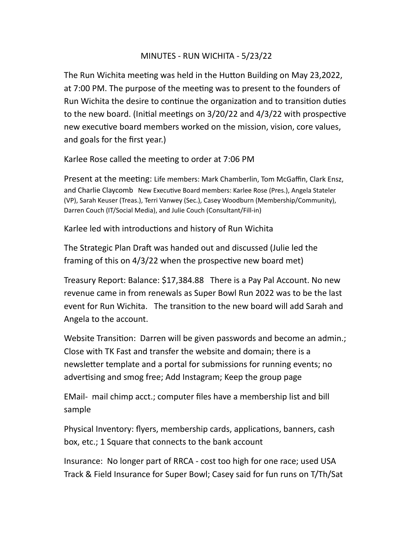## MINUTES - RUN WICHITA - 5/23/22

The Run Wichita meeting was held in the Hutton Building on May 23,2022, at 7:00 PM. The purpose of the meeting was to present to the founders of Run Wichita the desire to continue the organization and to transition duties to the new board. (Initial meetings on  $3/20/22$  and  $4/3/22$  with prospective new executive board members worked on the mission, vision, core values, and goals for the first year.)

Karlee Rose called the meeting to order at 7:06 PM

Present at the meeting: Life members: Mark Chamberlin, Tom McGaffin, Clark Ensz, and Charlie Claycomb New Executive Board members: Karlee Rose (Pres.), Angela Stateler (VP), Sarah Keuser (Treas.), Terri Vanwey (Sec.), Casey Woodburn (Membership/Community), Darren Couch (IT/Social Media), and Julie Couch (Consultant/Fill-in)

Karlee led with introductions and history of Run Wichita

The Strategic Plan Draft was handed out and discussed (Julie led the framing of this on  $4/3/22$  when the prospective new board met)

Treasury Report: Balance: \$17,384.88 There is a Pay Pal Account. No new revenue came in from renewals as Super Bowl Run 2022 was to be the last event for Run Wichita. The transition to the new board will add Sarah and Angela to the account.

Website Transition: Darren will be given passwords and become an admin.; Close with TK Fast and transfer the website and domain; there is a newsletter template and a portal for submissions for running events; no advertising and smog free; Add Instagram; Keep the group page

EMail- mail chimp acct.; computer files have a membership list and bill sample

Physical Inventory: flyers, membership cards, applications, banners, cash box, etc.; 1 Square that connects to the bank account

Insurance: No longer part of RRCA - cost too high for one race; used USA Track & Field Insurance for Super Bowl; Casey said for fun runs on T/Th/Sat